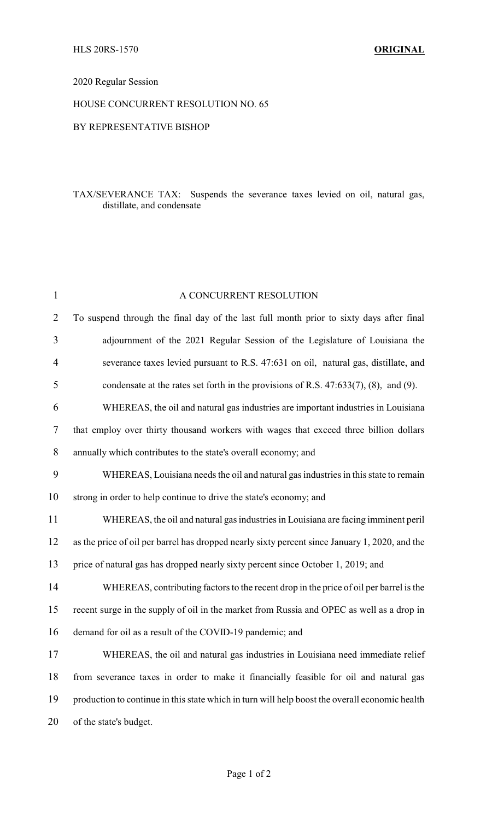## 2020 Regular Session

## HOUSE CONCURRENT RESOLUTION NO. 65

#### BY REPRESENTATIVE BISHOP

### TAX/SEVERANCE TAX: Suspends the severance taxes levied on oil, natural gas, distillate, and condensate

| $\mathbf{1}$   | A CONCURRENT RESOLUTION                                                                        |
|----------------|------------------------------------------------------------------------------------------------|
| $\overline{2}$ | To suspend through the final day of the last full month prior to sixty days after final        |
| 3              | adjournment of the 2021 Regular Session of the Legislature of Louisiana the                    |
| 4              | severance taxes levied pursuant to R.S. 47:631 on oil, natural gas, distillate, and            |
| 5              | condensate at the rates set forth in the provisions of R.S. $47:633(7)$ , $(8)$ , and $(9)$ .  |
| 6              | WHEREAS, the oil and natural gas industries are important industries in Louisiana              |
| 7              | that employ over thirty thousand workers with wages that exceed three billion dollars          |
| $8\,$          | annually which contributes to the state's overall economy; and                                 |
| 9              | WHEREAS, Louisiana needs the oil and natural gas industries in this state to remain            |
| 10             | strong in order to help continue to drive the state's economy; and                             |
| 11             | WHEREAS, the oil and natural gas industries in Louisiana are facing imminent peril             |
| 12             | as the price of oil per barrel has dropped nearly sixty percent since January 1, 2020, and the |
| 13             | price of natural gas has dropped nearly sixty percent since October 1, 2019; and               |
| 14             | WHEREAS, contributing factors to the recent drop in the price of oil per barrel is the         |
| 15             | recent surge in the supply of oil in the market from Russia and OPEC as well as a drop in      |
| 16             | demand for oil as a result of the COVID-19 pandemic; and                                       |
| 17             | WHEREAS, the oil and natural gas industries in Louisiana need immediate relief                 |
| 18             | from severance taxes in order to make it financially feasible for oil and natural gas          |
| 19             | production to continue in this state which in turn will help boost the overall economic health |
| 20             | of the state's budget.                                                                         |